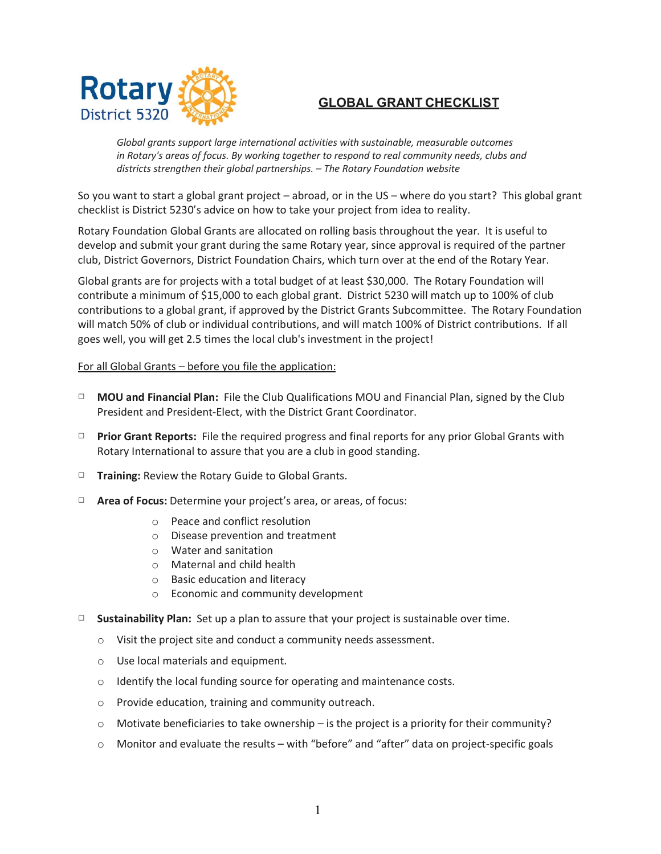

## **GLOBAL GRANT CHECKLIST**

*Global grants support large international activities with sustainable, measurable outcomes in Rotary's areas of focus. By working together to respond to real community needs, clubs and districts strengthen their global partnerships. – The Rotary Foundation website*

So you want to start a global grant project – abroad, or in the US – where do you start? This global grant checklist is District 5230's advice on how to take your project from idea to reality.

Rotary Foundation Global Grants are allocated on rolling basis throughout the year. It is useful to develop and submit your grant during the same Rotary year, since approval is required of the partner club, District Governors, District Foundation Chairs, which turn over at the end of the Rotary Year.

Global grants are for projects with a total budget of at least \$30,000. The Rotary Foundation will contribute a minimum of \$15,000 to each global grant. District 5230 will match up to 100% of club contributions to a global grant, if approved by the District Grants Subcommittee. The Rotary Foundation will match 50% of club or individual contributions, and will match 100% of District contributions. If all goes well, you will get 2.5 times the local club's investment in the project!

## For all Global Grants – before you file the application:

- □ **MOU and Financial Plan:** File the Club Qualifications MOU and Financial Plan, signed by the Club President and President-Elect, with the District Grant Coordinator.
- □ **Prior Grant Reports:** File the required progress and final reports for any prior Global Grants with Rotary International to assure that you are a club in good standing.
- □ **Training:** Review the Rotary Guide to Global Grants.
- □ **Area of Focus:** Determine your project's area, or areas, of focus:
	- o Peace and conflict resolution
	- o Disease prevention and treatment
	- o Water and sanitation
	- o Maternal and child health
	- o Basic education and literacy
	- o Economic and community development
- □ **Sustainability Plan:** Set up a plan to assure that your project is sustainable over time.
	- o Visit the project site and conduct a community needs assessment.
	- o Use local materials and equipment.
	- o Identify the local funding source for operating and maintenance costs.
	- o Provide education, training and community outreach.
	- $\circ$  Motivate beneficiaries to take ownership is the project is a priority for their community?
	- o Monitor and evaluate the results with "before" and "after" data on project-specific goals